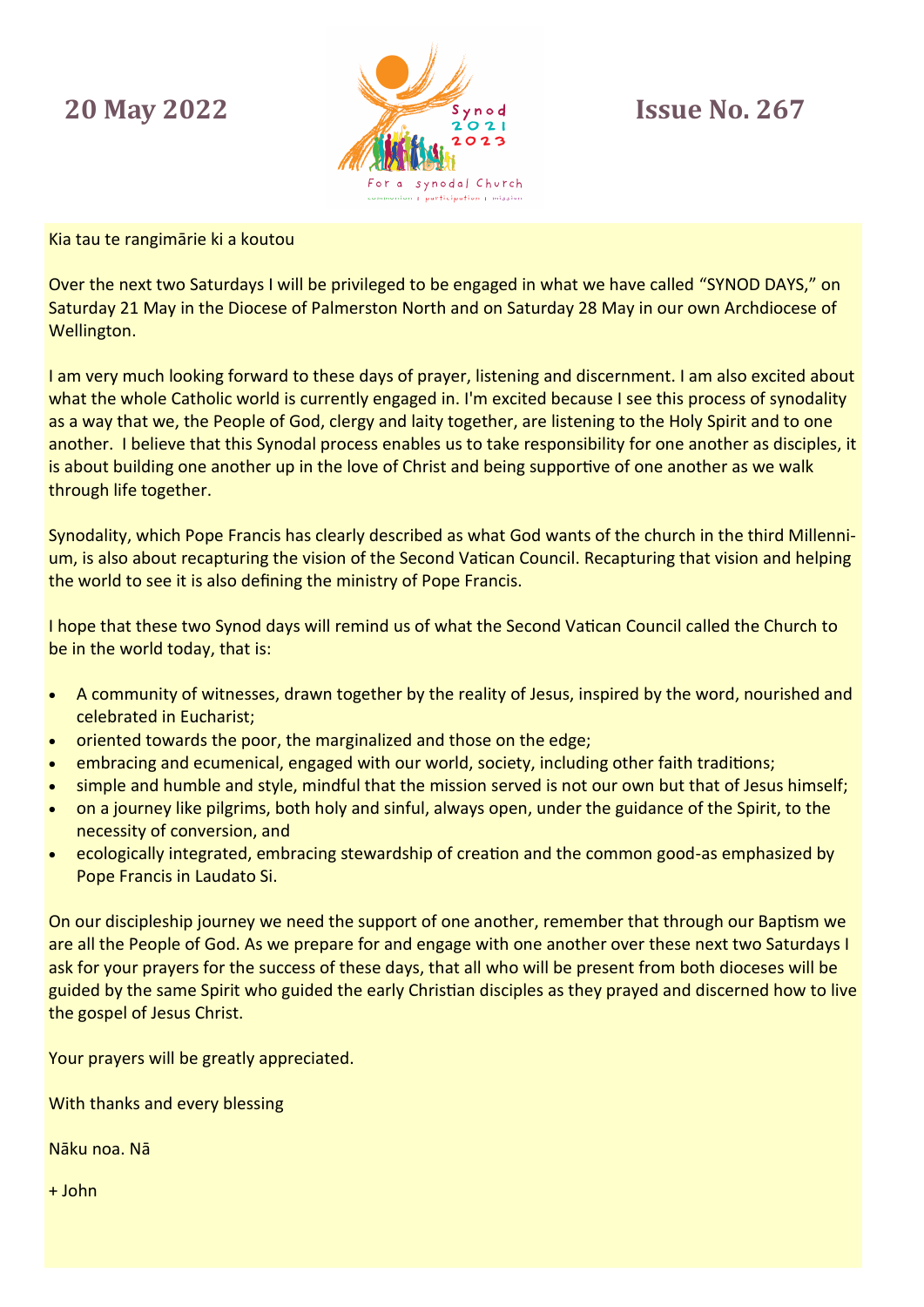## **20 May 2022**



**Issue No. 267**

Kia tau te rangimārie ki a koutou

Over the next two Saturdays I will be privileged to be engaged in what we have called "SYNOD DAYS," on Saturday 21 May in the Diocese of Palmerston North and on Saturday 28 May in our own Archdiocese of Wellington.

I am very much looking forward to these days of prayer, listening and discernment. I am also excited about what the whole Catholic world is currently engaged in. I'm excited because I see this process of synodality as a way that we, the People of God, clergy and laity together, are listening to the Holy Spirit and to one another. I believe that this Synodal process enables us to take responsibility for one another as disciples, it is about building one another up in the love of Christ and being supportive of one another as we walk through life together.

Synodality, which Pope Francis has clearly described as what God wants of the church in the third Millennium, is also about recapturing the vision of the Second Vatican Council. Recapturing that vision and helping the world to see it is also defining the ministry of Pope Francis.

I hope that these two Synod days will remind us of what the Second Vatican Council called the Church to be in the world today, that is:

- A community of witnesses, drawn together by the reality of Jesus, inspired by the word, nourished and celebrated in Eucharist;
- oriented towards the poor, the marginalized and those on the edge;
- embracing and ecumenical, engaged with our world, society, including other faith traditions;
- simple and humble and style, mindful that the mission served is not our own but that of Jesus himself;
- on a journey like pilgrims, both holy and sinful, always open, under the guidance of the Spirit, to the necessity of conversion, and
- ecologically integrated, embracing stewardship of creation and the common good-as emphasized by Pope Francis in Laudato Si.

On our discipleship journey we need the support of one another, remember that through our Baptism we are all the People of God. As we prepare for and engage with one another over these next two Saturdays I ask for your prayers for the success of these days, that all who will be present from both dioceses will be guided by the same Spirit who guided the early Christian disciples as they prayed and discerned how to live the gospel of Jesus Christ.

Your prayers will be greatly appreciated.

With thanks and every blessing

Nāku noa. Nā

+ John